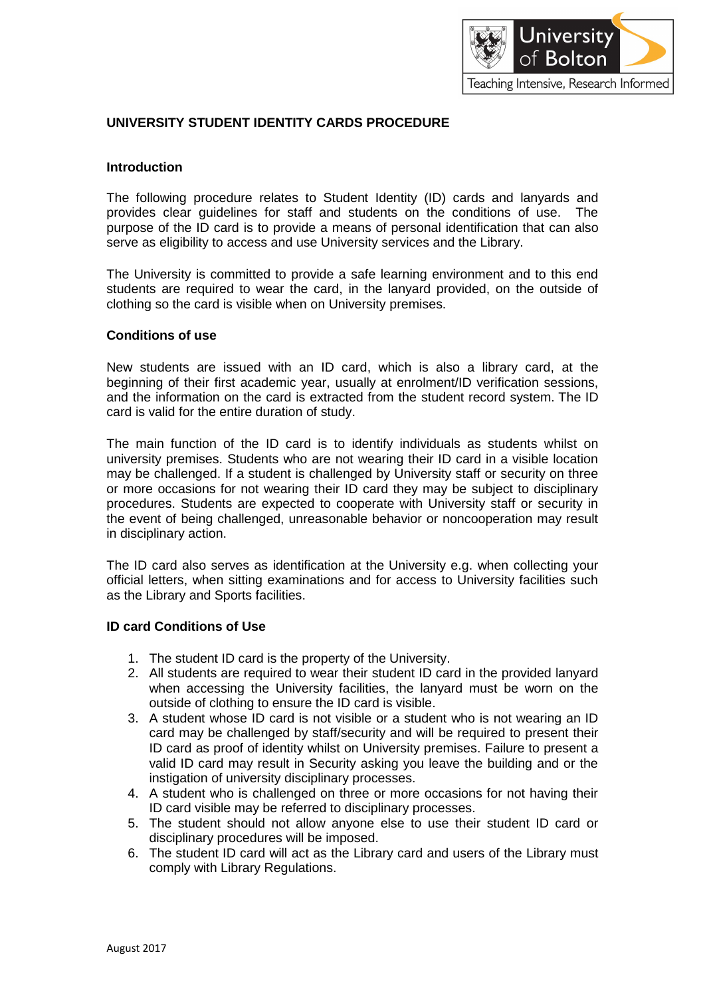

## **UNIVERSITY STUDENT IDENTITY CARDS PROCEDURE**

#### **Introduction**

The following procedure relates to Student Identity (ID) cards and lanyards and provides clear guidelines for staff and students on the conditions of use. The purpose of the ID card is to provide a means of personal identification that can also serve as eligibility to access and use University services and the Library.

The University is committed to provide a safe learning environment and to this end students are required to wear the card, in the lanyard provided, on the outside of clothing so the card is visible when on University premises.

#### **Conditions of use**

New students are issued with an ID card, which is also a library card, at the beginning of their first academic year, usually at enrolment/ID verification sessions, and the information on the card is extracted from the student record system. The ID card is valid for the entire duration of study.

The main function of the ID card is to identify individuals as students whilst on university premises. Students who are not wearing their ID card in a visible location may be challenged. If a student is challenged by University staff or security on three or more occasions for not wearing their ID card they may be subject to disciplinary procedures. Students are expected to cooperate with University staff or security in the event of being challenged, unreasonable behavior or noncooperation may result in disciplinary action.

The ID card also serves as identification at the University e.g. when collecting your official letters, when sitting examinations and for access to University facilities such as the Library and Sports facilities.

#### **ID card Conditions of Use**

- 1. The student ID card is the property of the University.
- 2. All students are required to wear their student ID card in the provided lanyard when accessing the University facilities, the lanyard must be worn on the outside of clothing to ensure the ID card is visible.
- 3. A student whose ID card is not visible or a student who is not wearing an ID card may be challenged by staff/security and will be required to present their ID card as proof of identity whilst on University premises. Failure to present a valid ID card may result in Security asking you leave the building and or the instigation of university disciplinary processes.
- 4. A student who is challenged on three or more occasions for not having their ID card visible may be referred to disciplinary processes.
- 5. The student should not allow anyone else to use their student ID card or disciplinary procedures will be imposed.
- 6. The student ID card will act as the Library card and users of the Library must comply with Library Regulations.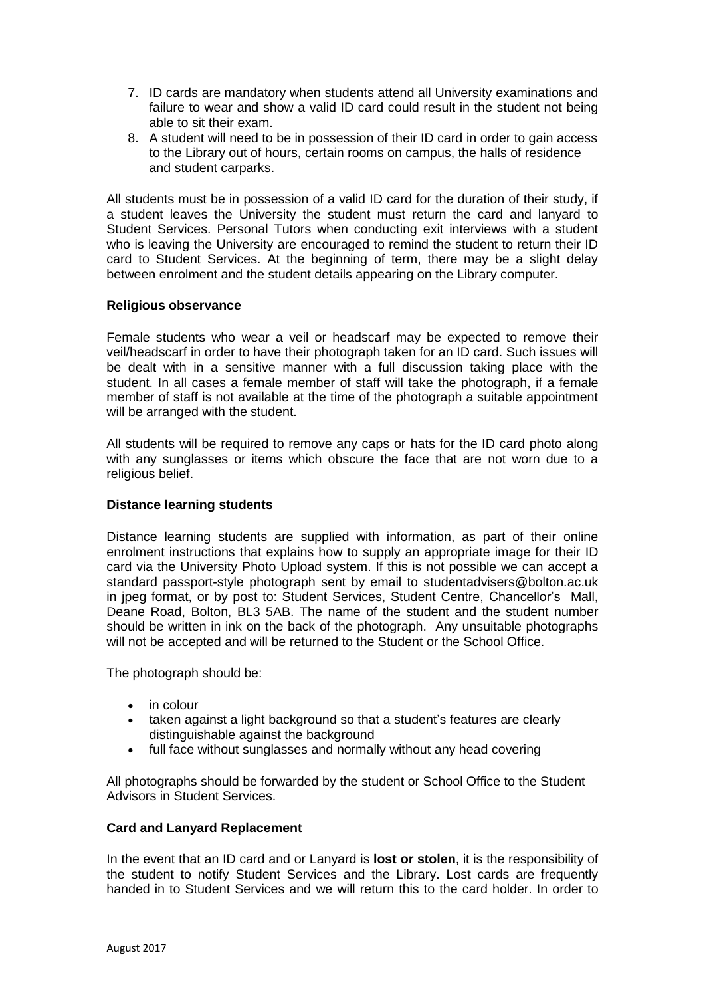- 7. ID cards are mandatory when students attend all University examinations and failure to wear and show a valid ID card could result in the student not being able to sit their exam.
- 8. A student will need to be in possession of their ID card in order to gain access to the Library out of hours, certain rooms on campus, the halls of residence and student carparks.

All students must be in possession of a valid ID card for the duration of their study, if a student leaves the University the student must return the card and lanyard to Student Services. Personal Tutors when conducting exit interviews with a student who is leaving the University are encouraged to remind the student to return their ID card to Student Services. At the beginning of term, there may be a slight delay between enrolment and the student details appearing on the Library computer.

### **Religious observance**

Female students who wear a veil or headscarf may be expected to remove their veil/headscarf in order to have their photograph taken for an ID card. Such issues will be dealt with in a sensitive manner with a full discussion taking place with the student. In all cases a female member of staff will take the photograph, if a female member of staff is not available at the time of the photograph a suitable appointment will be arranged with the student.

All students will be required to remove any caps or hats for the ID card photo along with any sunglasses or items which obscure the face that are not worn due to a religious belief.

#### **Distance learning students**

Distance learning students are supplied with information, as part of their online enrolment instructions that explains how to supply an appropriate image for their ID card via the University Photo Upload system. If this is not possible we can accept a standard passport-style photograph sent by email to [studentadvisers@bolton.ac.uk](mailto:studentadvisers@bolton.ac.uk) in jpeg format, or by post to: Student Services, Student Centre, Chancellor's Mall, Deane Road, Bolton, BL3 5AB. The name of the student and the student number should be written in ink on the back of the photograph. Any unsuitable photographs will not be accepted and will be returned to the Student or the School Office.

The photograph should be:

- in colour
- taken against a light background so that a student's features are clearly distinguishable against the background
- full face without sunglasses and normally without any head covering

All photographs should be forwarded by the student or School Office to the Student Advisors in Student Services.

#### **Card and Lanyard Replacement**

In the event that an ID card and or Lanyard is **lost or stolen**, it is the responsibility of the student to notify Student Services and the Library. Lost cards are frequently handed in to Student Services and we will return this to the card holder. In order to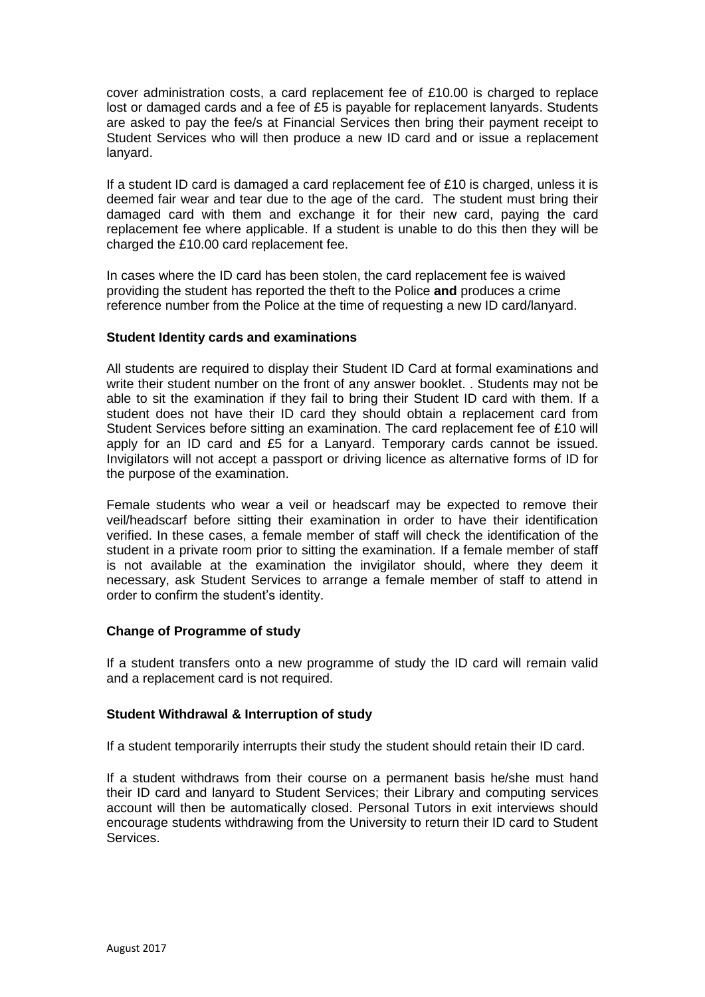cover administration costs, a card replacement fee of £10.00 is charged to replace lost or damaged cards and a fee of £5 is payable for replacement lanyards. Students are asked to pay the fee/s at Financial Services then bring their payment receipt to Student Services who will then produce a new ID card and or issue a replacement lanyard.

If a student ID card is damaged a card replacement fee of £10 is charged, unless it is deemed fair wear and tear due to the age of the card. The student must bring their damaged card with them and exchange it for their new card, paying the card replacement fee where applicable. If a student is unable to do this then they will be charged the £10.00 card replacement fee.

In cases where the ID card has been stolen, the card replacement fee is waived providing the student has reported the theft to the Police **and** produces a crime reference number from the Police at the time of requesting a new ID card/lanyard.

### **Student Identity cards and examinations**

All students are required to display their Student ID Card at formal examinations and write their student number on the front of any answer booklet. . Students may not be able to sit the examination if they fail to bring their Student ID card with them. If a student does not have their ID card they should obtain a replacement card from Student Services before sitting an examination. The card replacement fee of £10 will apply for an ID card and £5 for a Lanyard. Temporary cards cannot be issued. Invigilators will not accept a passport or driving licence as alternative forms of ID for the purpose of the examination.

Female students who wear a veil or headscarf may be expected to remove their veil/headscarf before sitting their examination in order to have their identification verified. In these cases, a female member of staff will check the identification of the student in a private room prior to sitting the examination. If a female member of staff is not available at the examination the invigilator should, where they deem it necessary, ask Student Services to arrange a female member of staff to attend in order to confirm the student's identity.

## **Change of Programme of study**

If a student transfers onto a new programme of study the ID card will remain valid and a replacement card is not required.

## **Student Withdrawal & Interruption of study**

If a student temporarily interrupts their study the student should retain their ID card.

If a student withdraws from their course on a permanent basis he/she must hand their ID card and lanyard to Student Services; their Library and computing services account will then be automatically closed. Personal Tutors in exit interviews should encourage students withdrawing from the University to return their ID card to Student Services.